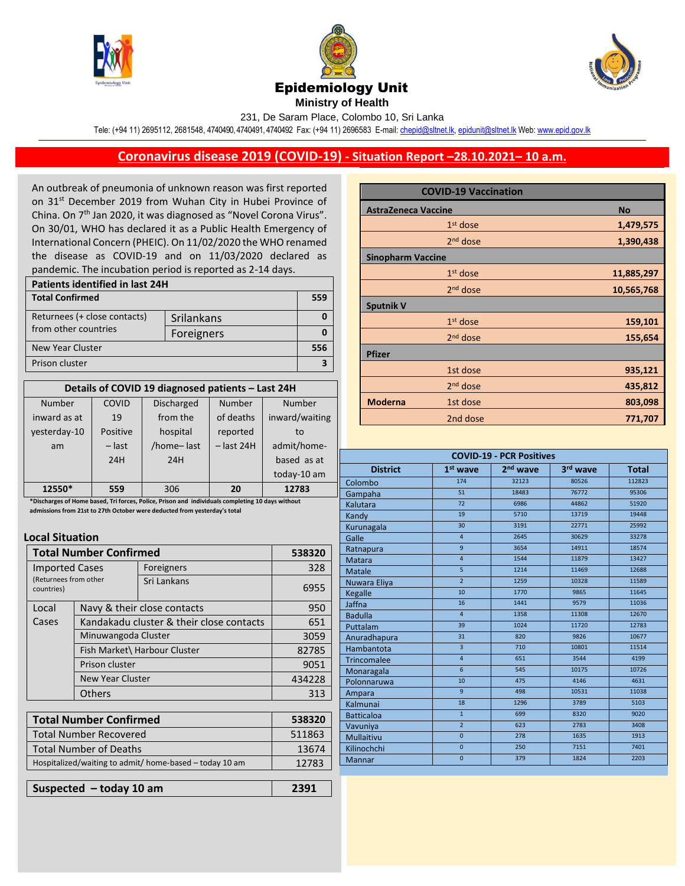





**Ministry of Health** 

231, De Saram Place, Colombo 10, Sri Lanka

Tele: (+94 11) 2695112, 2681548, 4740490, 4740491, 4740492 Fax: (+94 11) 2696583 E-mail[: chepid@sltnet.lk,](mailto:chepi@sltnet.lk) [epidunit@sltnet.lk](mailto:epidunit@sltnet.lk) Web[: www.epid.gov.lk](http://www.epid.gov.lk/)

## **Coronavirus disease 2019 (COVID-19) - Situation Report –28.10.2021– 10 a.m.**

An outbreak of pneumonia of unknown reason was first reported on 31<sup>st</sup> December 2019 from Wuhan City in Hubei Province of China. On 7<sup>th</sup> Jan 2020, it was diagnosed as "Novel Corona Virus". On 30/01, WHO has declared it as a Public Health Emergency of International Concern (PHEIC). On 11/02/2020 the WHO renamed the disease as COVID-19 and on 11/03/2020 declared as pandemic. The incubation period is reported as 2-14 days.

| Patients identified in last 24H |            |     |  |
|---------------------------------|------------|-----|--|
| <b>Total Confirmed</b>          |            | 559 |  |
| Returnees (+ close contacts)    | Srilankans |     |  |
| from other countries            | Foreigners |     |  |
| New Year Cluster                |            |     |  |
| Prison cluster                  |            |     |  |

| Details of COVID 19 diagnosed patients - Last 24H |          |                   |              |                |
|---------------------------------------------------|----------|-------------------|--------------|----------------|
| <b>Number</b>                                     | COVID    | <b>Discharged</b> | Number       | Number         |
| inward as at                                      | 19       | from the          | of deaths    | inward/waiting |
| yesterday-10                                      | Positive | hospital          | reported     | to             |
| am                                                | $-$ last | /home-last        | $-$ last 24H | admit/home-    |
|                                                   | 24H      | 24H               |              | based as at    |
|                                                   |          |                   |              | today-10 am    |
| 12550*                                            | 559      | 306               | 20           | 12783          |

 **admissions from 21st to 27th October were deducted from yesterday's total\*Discharges of Home based, Tri forces, Police, Prison and individuals completing 10 days without** 

## **Local Situation**

| <b>Total Number Confirmed</b>                                |                                          |             | 538320 |
|--------------------------------------------------------------|------------------------------------------|-------------|--------|
| <b>Imported Cases</b><br>(Returnees from other<br>countries) |                                          | Foreigners  | 328    |
|                                                              |                                          | Sri Lankans | 6955   |
| Local                                                        | Navy & their close contacts              |             | 950    |
| Cases                                                        | Kandakadu cluster & their close contacts | 651         |        |
|                                                              | Minuwangoda Cluster                      |             | 3059   |
|                                                              | Fish Market\ Harbour Cluster             |             | 82785  |
|                                                              | Prison cluster                           |             | 9051   |
|                                                              | New Year Cluster                         |             | 434228 |
|                                                              | Others                                   |             | 313    |
|                                                              |                                          |             |        |
| ممستكميم كسميما ممسالي المر                                  |                                          |             | -3033  |

| 538320 |
|--------|
| 511863 |
| 13674  |
| 12783  |
|        |

**Suspected – today 10 am 2391**

|                            | <b>COVID-19 Vaccination</b> |            |
|----------------------------|-----------------------------|------------|
| <b>AstraZeneca Vaccine</b> |                             | <b>No</b>  |
|                            | $1st$ dose                  | 1,479,575  |
|                            | $2nd$ dose                  | 1,390,438  |
| <b>Sinopharm Vaccine</b>   |                             |            |
|                            | $1st$ dose                  | 11,885,297 |
|                            | $2nd$ dose                  | 10,565,768 |
| <b>Sputnik V</b>           |                             |            |
|                            | $1st$ dose                  | 159,101    |
|                            | $2nd$ dose                  | 155,654    |
| <b>Pfizer</b>              |                             |            |
|                            | 1st dose                    | 935,121    |
|                            | $2nd$ dose                  | 435,812    |
| <b>Moderna</b>             | 1st dose                    | 803,098    |
|                            | 2nd dose                    | 771,707    |

| <b>COVID-19 - PCR Positives</b> |                         |                      |          |              |
|---------------------------------|-------------------------|----------------------|----------|--------------|
| <b>District</b>                 | $1st$ wave              | 2 <sup>nd</sup> wave | 3rd wave | <b>Total</b> |
| Colombo                         | 174                     | 32123                | 80526    | 112823       |
| Gampaha                         | 51                      | 18483                | 76772    | 95306        |
| Kalutara                        | 72                      | 6986                 | 44862    | 51920        |
| Kandy                           | 19                      | 5710                 | 13719    | 19448        |
| Kurunagala                      | 30                      | 3191                 | 22771    | 25992        |
| Galle                           | $\overline{4}$          | 2645                 | 30629    | 33278        |
| Ratnapura                       | 9                       | 3654                 | 14911    | 18574        |
| <b>Matara</b>                   | $\overline{4}$          | 1544                 | 11879    | 13427        |
| Matale                          | 5                       | 1214                 | 11469    | 12688        |
| Nuwara Eliya                    | $\overline{2}$          | 1259                 | 10328    | 11589        |
| Kegalle                         | 10                      | 1770                 | 9865     | 11645        |
| Jaffna                          | 16                      | 1441                 | 9579     | 11036        |
| <b>Badulla</b>                  | $\overline{4}$          | 1358                 | 11308    | 12670        |
| Puttalam                        | 39                      | 1024                 | 11720    | 12783        |
| Anuradhapura                    | 31                      | 820                  | 9826     | 10677        |
| Hambantota                      | $\overline{3}$          | 710                  | 10801    | 11514        |
| Trincomalee                     | $\overline{\mathbf{4}}$ | 651                  | 3544     | 4199         |
| Monaragala                      | $6\overline{6}$         | 545                  | 10175    | 10726        |
| Polonnaruwa                     | 10                      | 475                  | 4146     | 4631         |
| Ampara                          | 9                       | 498                  | 10531    | 11038        |
| Kalmunai                        | 18                      | 1296                 | 3789     | 5103         |
| <b>Batticaloa</b>               | $\mathbf{1}$            | 699                  | 8320     | 9020         |
| Vavuniya                        | $\overline{2}$          | 623                  | 2783     | 3408         |
| Mullaitivu                      | $\overline{0}$          | 278                  | 1635     | 1913         |
| Kilinochchi                     | $\overline{0}$          | 250                  | 7151     | 7401         |
| Mannar                          | $\overline{0}$          | 379                  | 1824     | 2203         |